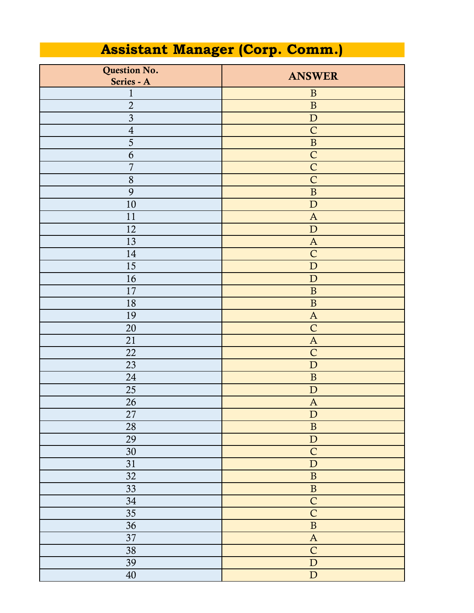## **Assistant Manager (Corp. Comm.)**

| Question No.            | <b>ANSWER</b>             |
|-------------------------|---------------------------|
| Series - A              |                           |
| $\mathbf{1}$            | $\mathbf B$               |
| $\overline{2}$          | $\, {\bf B}$              |
| $\overline{\mathbf{3}}$ | ${\bf D}$                 |
| $\sqrt{4}$              | $\mathsf{C}$              |
| $\overline{5}$          | $\, {\bf B}$              |
| 6                       | $\mathsf{C}$              |
| $\overline{7}$          | $\mathsf{C}$              |
| 8                       | $\overline{C}$            |
| 9                       | $\, {\bf B}$              |
| 10                      | ${\bf D}$                 |
| 11                      | $\mathbf{A}$              |
| 12                      | $\mathbf D$               |
| 13                      | $\mathbf{A}$              |
| 14                      | $\mathsf{C}$              |
| 15                      | ${\bf D}$                 |
| 16                      | $\mathbf D$               |
| 17                      | $\, {\bf B}$              |
| 18                      | $\, {\bf B}$              |
| 19                      | $\mathbf{A}$              |
| 20                      | $\mathsf{C}$              |
| 21                      | $\mathbf{A}$              |
| 22                      | $\mathsf{C}$              |
| 23                      | ${\bf D}$                 |
| 24                      | $\, {\bf B}$              |
| 25                      | ${\bf D}$                 |
| 26                      | $\mathbf{A}$              |
| 27                      | $\mathbf D$               |
| 28                      | $\, {\bf B}$              |
| 29                      | $\label{eq:1} \mathbf{D}$ |
| $30\,$                  | $\mathsf{C}$              |
| 31                      | ${\bf D}$                 |
| 32                      | $\, {\bf B}$              |
| 33                      | $\, {\bf B}$              |
| $34\,$                  | $\overline{C}$            |
| 35                      | $\overline{C}$            |
| 36                      | $\, {\bf B}$              |
| 37                      | $\mathbf{A}$              |
| 38                      | $\overline{C}$            |
| 39                      | ${\bf D}$                 |
| $40\,$                  | $\overline{\text{D}}$     |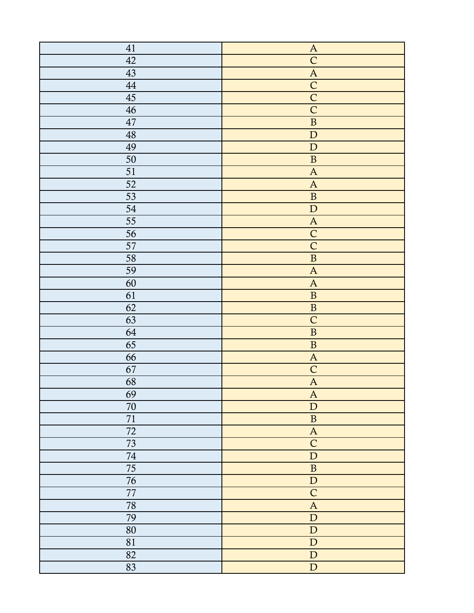| 41          | $\boldsymbol{\mathsf{A}}$ |
|-------------|---------------------------|
| 42          | $\overline{C}$            |
| 43          | $\boldsymbol{\mathsf{A}}$ |
| $\rm 44$    | $\overline{C}$            |
| $45\,$      | $\overline{C}$            |
| 46          | $\overline{C}$            |
| $47\,$      | $\overline{\mathbf{B}}$   |
| $\sqrt{48}$ | ${\bf D}$                 |
| 49          | ${\bf D}$                 |
| $50\,$      | $\, {\bf B}$              |
| 51          | $\boldsymbol{\mathsf{A}}$ |
| 52          | $\boldsymbol{A}$          |
| 53          | $\, {\bf B}$              |
| 54          | $\mathbf D$               |
| 55          | $\boldsymbol{\mathsf{A}}$ |
| 56          | $\mathsf C$               |
| 57          | $\overline{C}$            |
| 58          | $\overline{\mathbf{B}}$   |
| 59          | $\boldsymbol{\mathsf{A}}$ |
| 60          | $\boldsymbol{\mathsf{A}}$ |
| 61          | $\, {\bf B}$              |
| 62          | $\, {\bf B}$              |
| 63          | $\overline{C}$            |
| 64          | $\overline{\mathbf{B}}$   |
| 65          | $\, {\bf B}$              |
| 66          | $\boldsymbol{\mathsf{A}}$ |
| 67          | $\mathsf C$               |
| 68          | $\overline{A}$            |
| 69          | $\mathbf{A}$              |
| $70\,$      | ${\bf D}$                 |
| 71          | $\, {\bf B}$              |
| 72          | $\mathbf A$               |
| 73          | $\mathsf C$               |
| $74\,$      | ${\bf D}$                 |
| 75          | $\, {\bf B}$              |
| 76          | ${\bf D}$                 |
| $77\,$      | $\mathsf{C}$              |
| 78          | $\boldsymbol{\mathsf{A}}$ |
| 79          | ${\bf D}$                 |
| $80\,$      | ${\bf D}$                 |
| 81          | ${\bf D}$                 |
| 82          | ${\bf D}$                 |
| 83          | ${\bf D}$                 |
|             |                           |